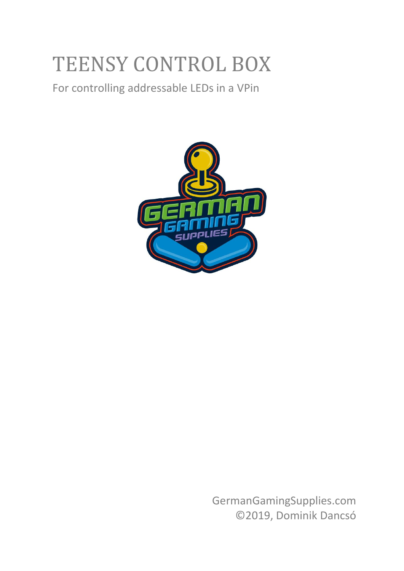# TEENSY CONTROL BOX

For controlling addressable LEDs in a VPin



GermanGamingSupplies.com ©2019, Dominik Dancsó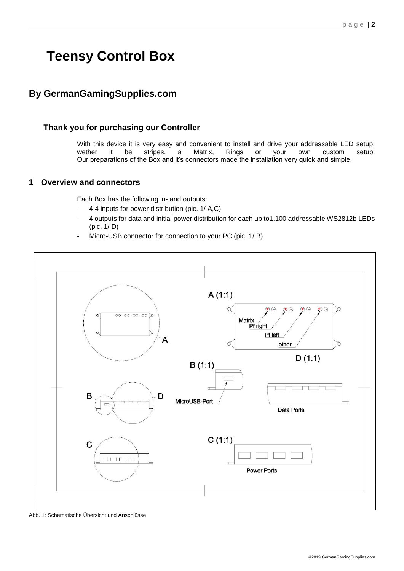# **Teensy Control Box**

# **By GermanGamingSupplies.com**

# **Thank you for purchasing our Controller**

With this device it is very easy and convenient to install and drive your addressable LED setup, wether it be stripes, a Matrix, Rings or your own custom setup. Our preparations of the Box and it's connectors made the installation very quick and simple.

# **1 Overview and connectors**

Each Box has the following in- and outputs:

- 4 4 inputs for power distribution (pic. 1/ A,C)
- 4 outputs for data and initial power distribution for each up to1.100 addressable WS2812b LEDs (pic. 1/ D)
- Micro-USB connector for connection to your PC (pic. 1/ B)



Abb. 1: Schematische Übersicht und Anschlüsse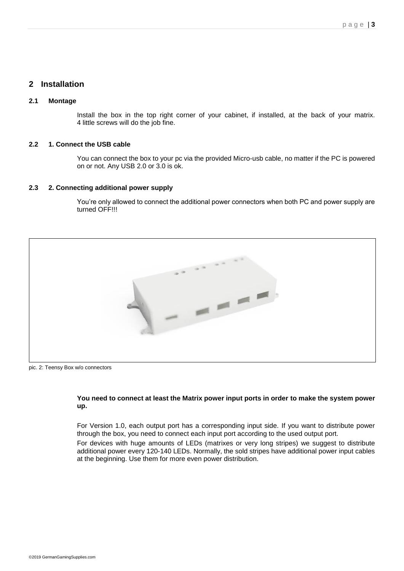# **2 Installation**

#### **2.1 Montage**

Install the box in the top right corner of your cabinet, if installed, at the back of your matrix. 4 little screws will do the job fine.

#### **2.2 1. Connect the USB cable**

You can connect the box to your pc via the provided Micro-usb cable, no matter if the PC is powered on or not. Any USB 2.0 or 3.0 is ok.

#### **2.3 2. Connecting additional power supply**

You're only allowed to connect the additional power connectors when both PC and power supply are turned OFF!!!



pic. 2: Teensy Box w/o connectors

#### **You need to connect at least the Matrix power input ports in order to make the system power up.**

For Version 1.0, each output port has a corresponding input side. If you want to distribute power through the box, you need to connect each input port according to the used output port.

For devices with huge amounts of LEDs (matrixes or very long stripes) we suggest to distribute additional power every 120-140 LEDs. Normally, the sold stripes have additional power input cables at the beginning. Use them for more even power distribution.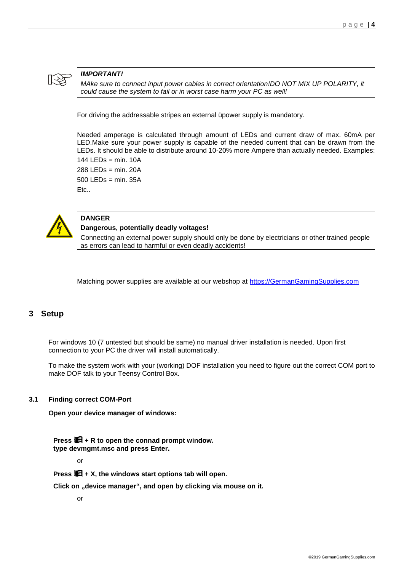

#### *IMPORTANT!*

*MAke sure to connect input power cables in correct orientation!DO NOT MIX UP POLARITY, it could cause the system to fail or in worst case harm your PC as well!*

For driving the addressable stripes an external üpower supply is mandatory.

Needed amperage is calculated through amount of LEDs and current draw of max. 60mA per LED.Make sure your power supply is capable of the needed current that can be drawn from the LEDs. It should be able to distribute around 10-20% more Ampere than actually needed. Examples:

144 LEDs = min. 10A  $288$  LEDs = min. 20A  $500$  LEDs = min. 35A Etc..



#### **DANGER**

#### **Dangerous, potentially deadly voltages!**

Connecting an external power supply should only be done by electricians or other trained people as errors can lead to harmful or even deadly accidents!

Matching power supplies are available at our webshop at [https://GermanGamingSupplies.com](https://germangamingsupplies.com/)

#### **3 Setup**

For windows 10 (7 untested but should be same) no manual driver installation is needed. Upon first connection to your PC the driver will install automatically.

To make the system work with your (working) DOF installation you need to figure out the correct COM port to make DOF talk to your Teensy Control Box.

#### **3.1 Finding correct COM-Port**

**Open your device manager of windows:**

**Press + R to open the connad prompt window. type devmgmt.msc and press Enter.**

or

**Press + X, the windows start options tab will open.**

**Click on "device manager", and open by clicking via mouse on it.**

or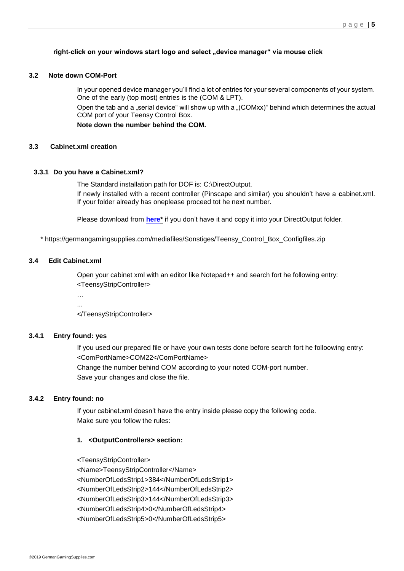#### right-click on your windows start logo and select "device manager" via mouse click

#### **3.2 Note down COM-Port**

In your opened device manager you'll find a lot of entries for your several components of your system. One of the early (top most) entries is the (COM & LPT).

Open the tab and a "serial device" will show up with a "(COMxx)" behind which determines the actual COM port of your Teensy Control Box.

**Note down the number behind the COM.**

#### **3.3 Cabinet.xml creation**

#### **3.3.1 Do you have a Cabinet.xml?**

The Standard installation path for DOF is: C:\DirectOutput.

If newly installed with a recent controller (Pinscape and similar) you shouldn't have a **c**abinet.xml. If your folder already has oneplease proceed tot he next number.

Please download from **[here\\*](https://germangamingsupplies.com/mediafiles/Sonstiges/Teensy_Control_Box_Configfiles.zip)** if you don't have it and copy it into your DirectOutput folder.

\* https://germangamingsupplies.com/mediafiles/Sonstiges/Teensy\_Control\_Box\_Configfiles.zip

#### **3.4 Edit Cabinet.xml**

Open your cabinet xml with an editor like Notepad++ and search fort he following entry: <TeensyStripController>

… ...

</TeensyStripController>

#### **3.4.1 Entry found: yes**

If you used our prepared file or have your own tests done before search fort he folloowing entry: <ComPortName>COM22</ComPortName>

Change the number behind COM according to your noted COM-port number. Save your changes and close the file.

#### **3.4.2 Entry found: no**

If your cabinet.xml doesn't have the entry inside please copy the following code. Make sure you follow the rules:

#### **1. <OutputControllers> section:**

<TeensyStripController>

<Name>TeensyStripController</Name> <NumberOfLedsStrip1>384</NumberOfLedsStrip1> <NumberOfLedsStrip2>144</NumberOfLedsStrip2> <NumberOfLedsStrip3>144</NumberOfLedsStrip3> <NumberOfLedsStrip4>0</NumberOfLedsStrip4> <NumberOfLedsStrip5>0</NumberOfLedsStrip5>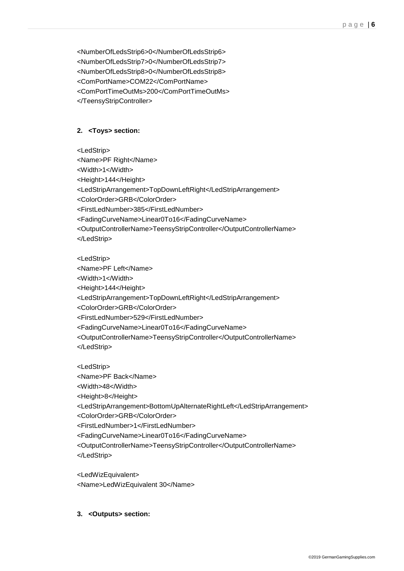<NumberOfLedsStrip6>0</NumberOfLedsStrip6> <NumberOfLedsStrip7>0</NumberOfLedsStrip7> <NumberOfLedsStrip8>0</NumberOfLedsStrip8> <ComPortName>COM22</ComPortName> <ComPortTimeOutMs>200</ComPortTimeOutMs> </TeensyStripController>

#### **2. <Toys> section:**

<LedStrip>

<Name>PF Right</Name>

<Width>1</Width>

<Height>144</Height>

<LedStripArrangement>TopDownLeftRight</LedStripArrangement>

<ColorOrder>GRB</ColorOrder>

<FirstLedNumber>385</FirstLedNumber>

<FadingCurveName>Linear0To16</FadingCurveName>

<OutputControllerName>TeensyStripController</OutputControllerName> </LedStrip>

<LedStrip>

<Name>PF Left</Name>

<Width>1</Width>

<Height>144</Height>

<LedStripArrangement>TopDownLeftRight</LedStripArrangement>

<ColorOrder>GRB</ColorOrder>

<FirstLedNumber>529</FirstLedNumber>

<FadingCurveName>Linear0To16</FadingCurveName>

<OutputControllerName>TeensyStripController</OutputControllerName> </LedStrip>

<LedStrip> <Name>PF Back</Name> <Width>48</Width> <Height>8</Height> <LedStripArrangement>BottomUpAlternateRightLeft</LedStripArrangement> <ColorOrder>GRB</ColorOrder> <FirstLedNumber>1</FirstLedNumber> <FadingCurveName>Linear0To16</FadingCurveName> <OutputControllerName>TeensyStripController</OutputControllerName> </LedStrip>

<LedWizEquivalent> <Name>LedWizEquivalent 30</Name>

#### **3. <Outputs> section:**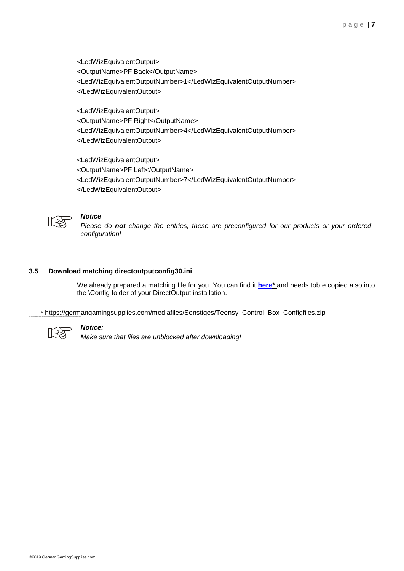<LedWizEquivalentOutput> <OutputName>PF Back</OutputName> <LedWizEquivalentOutputNumber>1</LedWizEquivalentOutputNumber> </LedWizEquivalentOutput>

<LedWizEquivalentOutput> <OutputName>PF Right</OutputName> <LedWizEquivalentOutputNumber>4</LedWizEquivalentOutputNumber> </LedWizEquivalentOutput>

<LedWizEquivalentOutput> <OutputName>PF Left</OutputName> <LedWizEquivalentOutputNumber>7</LedWizEquivalentOutputNumber> </LedWizEquivalentOutput>



#### *Notice*

*Please do not change the entries, these are preconfigured for our products or your ordered configuration!*

#### **3.5 Download matching directoutputconfig30.ini**

We already prepared a matching file for you. You can find it **[here\\*](https://germangamingsupplies.com/mediafiles/Sonstiges/Teensy_Control_Box_Configfiles.zip)** and needs tob e copied also into the \Config folder of your DirectOutput installation.

\* https://germangamingsupplies.com/mediafiles/Sonstiges/Teensy\_Control\_Box\_Configfiles.zip



# *Notice:*

*Make sure that files are unblocked after downloading!*